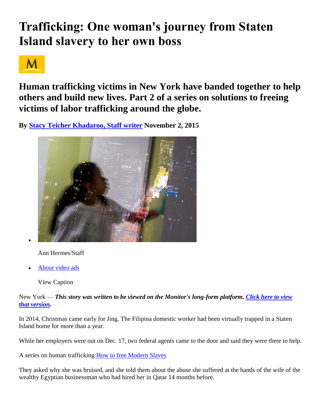# **Trafficking: One woman's journey from Staten Island slavery to her own boss**



**Human trafficking victims in New York have banded together to help others and build new lives. Part 2 of a series on solutions to freeing victims of labor trafficking around the globe.**

**By [Stacy Teicher Khadaroo, Staff writer](http://www.csmonitor.com/World/2015/1102/Trafficking-One-woman-s-journey-from-Staten-Island-slavery-to-her-own-boss) November 2, 2015** 



Ann Hermes/Staff

[About video ads](http://www.csmonitor.com/About/Contact/Feedback/About-video-ads)

View Caption

New York — *This story was written to be viewed on the Monitor's long-form platform. [Click here to view](https://humantrafficking.atavist.com/one-womans-journey)  [that version.](https://humantrafficking.atavist.com/one-womans-journey)*

In 2014, Christmas came early for Jing. The Filipina domestic worker had been virtually trapped in a Staten Island home for more than a year.

While her employers were out on Dec. 17, two federal agents came to the door and said they were there to help.

A series on human trafficking[:How to free Modern Slaves](http://www.csmonitor.com/World/Topics/Human-Trafficking-Series)

They asked why she was bruised, and she told them about the abuse she suffered at the hands of the wife of the wealthy Egyptian businessman who had hired her in Qatar 14 months before.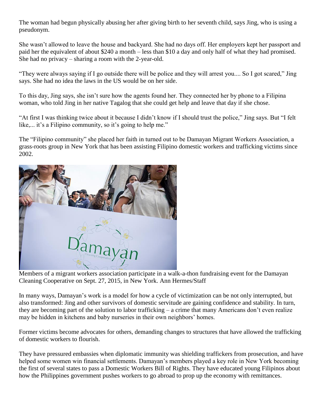The woman had begun physically abusing her after giving birth to her seventh child, says Jing, who is using a pseudonym.

She wasn't allowed to leave the house and backyard. She had no days off. Her employers kept her passport and paid her the equivalent of about \$240 a month – less than \$10 a day and only half of what they had promised. She had no privacy – sharing a room with the 2-year-old.

"They were always saying if I go outside there will be police and they will arrest you.... So I got scared," Jing says. She had no idea the laws in the US would be on her side.

To this day, Jing says, she isn't sure how the agents found her. They connected her by phone to a Filipina woman, who told Jing in her native Tagalog that she could get help and leave that day if she chose.

"At first I was thinking twice about it because I didn't know if I should trust the police," Jing says. But "I felt like,... it's a Filipino community, so it's going to help me."

The "Filipino community" she placed her faith in turned out to be Damayan Migrant Workers Association, a grass-roots group in New York that has been assisting Filipino domestic workers and trafficking victims since 2002.



Members of a migrant workers association participate in a walk-a-thon fundraising event for the Damayan Cleaning Cooperative on Sept. 27, 2015, in New York. Ann Hermes/Staff

In many ways, Damayan's work is a model for how a cycle of victimization can be not only interrupted, but also transformed: Jing and other survivors of domestic servitude are gaining confidence and stability. In turn, they are becoming part of the solution to labor trafficking – a crime that many Americans don't even realize may be hidden in kitchens and baby nurseries in their own neighbors' homes.

Former victims become advocates for others, demanding changes to structures that have allowed the trafficking of domestic workers to flourish.

They have pressured embassies when diplomatic immunity was shielding traffickers from prosecution, and have helped some women win financial settlements. Damayan's members played a key role in New York becoming the first of several states to pass a Domestic Workers Bill of Rights. They have educated young Filipinos about how the Philippines government pushes workers to go abroad to prop up the economy with remittances.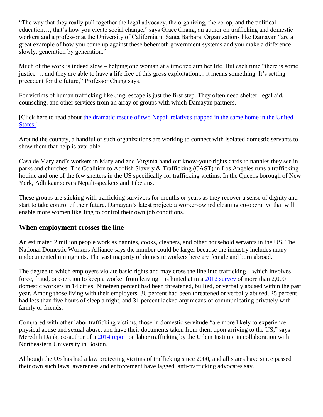"The way that they really pull together the legal advocacy, the organizing, the co-op, and the political education…, that's how you create social change," says Grace Chang, an author on trafficking and domestic workers and a professor at the University of California in Santa Barbara. Organizations like Damayan "are a great example of how you come up against these behemoth government systems and you make a difference slowly, generation by generation."

Much of the work is indeed slow – helping one woman at a time reclaim her life. But each time "there is some justice … and they are able to have a life free of this gross exploitation,... it means something. It's setting precedent for the future," Professor Chang says.

For victims of human trafficking like Jing, escape is just the first step. They often need shelter, legal aid, counseling, and other services from an array of groups with which Damayan partners.

[Click here to read about [the dramatic rescue of two Nepali relatives trapped in the same home in the United](http://www.csmonitor.com/World/2015/1102/From-trafficking-victim-to-rescuer-I-got-her-out)  [States.\]](http://www.csmonitor.com/World/2015/1102/From-trafficking-victim-to-rescuer-I-got-her-out)

Around the country, a handful of such organizations are working to connect with isolated domestic servants to show them that help is available.

Casa de Maryland's workers in Maryland and Virginia hand out know-your-rights cards to nannies they see in parks and churches. The Coalition to Abolish Slavery & Trafficking (CAST) in Los Angeles runs a trafficking hotline and one of the few shelters in the US specifically for trafficking victims. In the Queens borough of New York, Adhikaar serves Nepali-speakers and Tibetans.

These groups are sticking with trafficking survivors for months or years as they recover a sense of dignity and start to take control of their future. Damayan's latest project: a worker-owned cleaning co-operative that will enable more women like Jing to control their own job conditions.

#### **When employment crosses the line**

An estimated 2 million people work as nannies, cooks, cleaners, and other household servants in the US. The National Domestic Workers Alliance says the number could be larger because the industry includes many undocumented immigrants. The vast majority of domestic workers here are female and born abroad.

The degree to which employers violate basic rights and may cross the line into trafficking – which involves force, fraud, or coercion to keep a worker from leaving – is hinted at in a [2012 survey](http://www.domesticworkers.org/sites/default/files/HomeEconomicsEnglish.pdf) of more than 2,000 domestic workers in 14 cities: Nineteen percent had been threatened, bullied, or verbally abused within the past year. Among those living with their employers, 36 percent had been threatened or verbally abused, 25 percent had less than five hours of sleep a night, and 31 percent lacked any means of communicating privately with family or friends.

Compared with other labor trafficking victims, those in domestic servitude "are more likely to experience physical abuse and sexual abuse, and have their documents taken from them upon arriving to the US," says Meredith Dank, co-author of a [2014 report](http://www.urban.org/research/publication/understanding-organization-operation-and-victimization-process-labor-trafficking-united-states) on labor trafficking by the Urban Institute in collaboration with Northeastern University in Boston.

Although the US has had a law protecting victims of trafficking since 2000, and all states have since passed their own such laws, awareness and enforcement have lagged, anti-trafficking advocates say.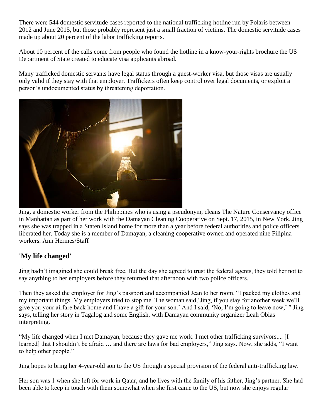There were 544 domestic servitude cases reported to the national trafficking hotline run by Polaris between 2012 and June 2015, but those probably represent just a small fraction of victims. The domestic servitude cases made up about 20 percent of the labor trafficking reports.

About 10 percent of the calls come from people who found the hotline in a know-your-rights brochure the US Department of State created to educate visa applicants abroad.

Many trafficked domestic servants have legal status through a guest-worker visa, but those visas are usually only valid if they stay with that employer. Traffickers often keep control over legal documents, or exploit a person's undocumented status by threatening deportation.



Jing, a domestic worker from the Philippines who is using a pseudonym, cleans The Nature Conservancy office in Manhattan as part of her work with the Damayan Cleaning Cooperative on Sept. 17, 2015, in New York. Jing says she was trapped in a Staten Island home for more than a year before federal authorities and police officers liberated her. Today she is a member of Damayan, a cleaning cooperative owned and operated nine Filipina workers. Ann Hermes/Staff

## **'My life changed'**

Jing hadn't imagined she could break free. But the day she agreed to trust the federal agents, they told her not to say anything to her employers before they returned that afternoon with two police officers.

Then they asked the employer for Jing's passport and accompanied Jean to her room. "I packed my clothes and my important things. My employers tried to stop me. The woman said,'Jing, if you stay for another week we'll give you your airfare back home and I have a gift for your son.' And I said, 'No, I'm going to leave now,' " Jing says, telling her story in Tagalog and some English, with Damayan community organizer Leah Obias interpreting.

"My life changed when I met Damayan, because they gave me work. I met other trafficking survivors.... [I learned] that I shouldn't be afraid … and there are laws for bad employers," Jing says. Now, she adds, "I want to help other people."

Jing hopes to bring her 4-year-old son to the US through a special provision of the federal anti-trafficking law.

Her son was 1 when she left for work in Qatar, and he lives with the family of his father, Jing's partner. She had been able to keep in touch with them somewhat when she first came to the US, but now she enjoys regular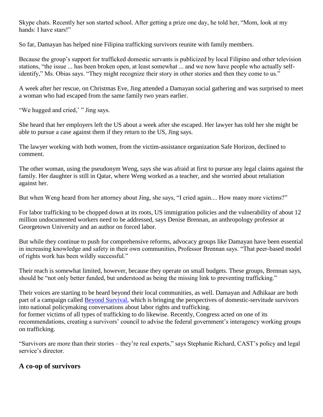Skype chats. Recently her son started school. After getting a prize one day, he told her, "Mom, look at my hands: I have stars!"

So far, Damayan has helped nine Filipina trafficking survivors reunite with family members.

Because the group's support for trafficked domestic servants is publicized by local Filipino and other television stations, "the issue ... has been broken open, at least somewhat ... and we now have people who actually selfidentify," Ms. Obias says. "They might recognize their story in other stories and then they come to us."

A week after her rescue, on Christmas Eve, Jing attended a Damayan social gathering and was surprised to meet a woman who had escaped from the same family two years earlier.

"We hugged and cried," " Jing says.

She heard that her employers left the US about a week after she escaped. Her lawyer has told her she might be able to pursue a case against them if they return to the US, Jing says.

The lawyer working with both women, from the victim-assistance organization Safe Horizon, declined to comment.

The other woman, using the pseudonym Weng, says she was afraid at first to pursue any legal claims against the family. Her daughter is still in Qatar, where Weng worked as a teacher, and she worried about retaliation against her.

But when Weng heard from her attorney about Jing, she says, "I cried again.... How many more victims?"

For labor trafficking to be chopped down at its roots, US immigration policies and the vulnerability of about 12 million undocumented workers need to be addressed, says Denise Brennan, an anthropology professor at Georgetown University and an author on forced labor.

But while they continue to push for comprehensive reforms, advocacy groups like Damayan have been essential in increasing knowledge and safety in their own communities, Professor Brennan says. "That peer-based model of rights work has been wildly successful."

Their reach is somewhat limited, however, because they operate on small budgets. These groups, Brennan says, should be "not only better funded, but understood as being the missing link to preventing trafficking."

Their voices are starting to be heard beyond their local communities, as well. Damayan and Adhikaar are both part of a campaign called [Beyond Survival,](http://www.domesticworkers.org/beyondsurvival) which is bringing the perspectives of domestic-servitude survivors into national policymaking conversations about labor rights and trafficking. for former victims of all types of trafficking to do likewise. Recently, Congress acted on one of its recommendations, creating a survivors' council to advise the federal government's interagency working groups on trafficking.

"Survivors are more than their stories – they're real experts," says Stephanie Richard, CAST's policy and legal service's director.

## **A co-op of survivors**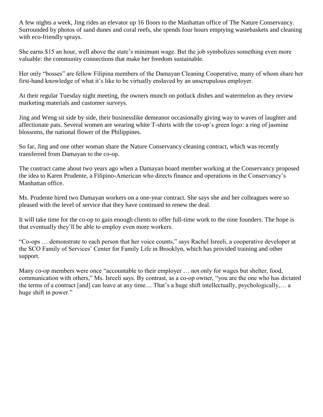A few nights a week, Jing rides an elevator up 16 floors to the Manhattan office of The Nature Conservancy. Surrounded by photos of sand dunes and coral reefs, she spends four hours emptying wastebaskets and cleaning with eco-friendly sprays.

She earns \$15 an hour, well above the state's minimum wage. But the job symbolizes something even more valuable: the community connections that make her freedom sustainable.

Her only "bosses" are fellow Filipina members of the Damayan Cleaning Cooperative, many of whom share her first-hand knowledge of what it's like to be virtually enslaved by an unscrupulous employer.

At their regular Tuesday night meeting, the owners munch on potluck dishes and watermelon as they review marketing materials and customer surveys.

Jing and Weng sit side by side, their businesslike demeanor occasionally giving way to waves of laughter and affectionate pats. Several women are wearing white T-shirts with the co-op's green logo: a ring of jasmine blossoms, the national flower of the Philippines.

So far, Jing and one other woman share the Nature Conservancy cleaning contract, which was recently transferred from Damayan to the co-op.

The contract came about two years ago when a Damayan board member working at the Conservancy proposed the idea to Karen Prudente, a Filipino-American who directs finance and operations in the Conservancy's Manhattan office.

Ms. Prudente hired two Damayan workers on a one-year contract. She says she and her colleagues were so pleased with the level of service that they have continued to renew the deal.

It will take time for the co-op to gain enough clients to offer full-time work to the nine founders. The hope is that eventually they'll be able to employ even more workers.

"Co-ops … demonstrate to each person that her voice counts," says Rachel Isreeli, a cooperative developer at the SCO Family of Services' Center for Family Life in Brooklyn, which has provided training and other support.

Many co-op members were once "accountable to their employer ... not only for wages but shelter, food, communication with others," Ms. Isreeli says. By contrast, as a co-op owner, "you are the one who has dictated the terms of a contract [and] can leave at any time.... That's a huge shift intellectually, psychologically,… a huge shift in power."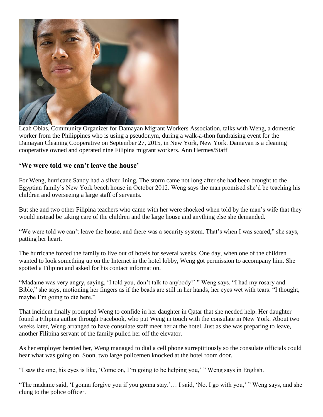

Leah Obias, Community Organizer for Damayan Migrant Workers Association, talks with Weng, a domestic worker from the Philippines who is using a pseudonym, during a walk-a-thon fundraising event for the Damayan Cleaning Cooperative on September 27, 2015, in New York, New York. Damayan is a cleaning cooperative owned and operated nine Filipina migrant workers. Ann Hermes/Staff

#### **'We were told we can't leave the house'**

For Weng, hurricane Sandy had a silver lining. The storm came not long after she had been brought to the Egyptian family's New York beach house in October 2012. Weng says the man promised she'd be teaching his children and overseeing a large staff of servants.

But she and two other Filipina teachers who came with her were shocked when told by the man's wife that they would instead be taking care of the children and the large house and anything else she demanded.

"We were told we can't leave the house, and there was a security system. That's when I was scared," she says, patting her heart.

The hurricane forced the family to live out of hotels for several weeks. One day, when one of the children wanted to look something up on the Internet in the hotel lobby, Weng got permission to accompany him. She spotted a Filipino and asked for his contact information.

"Madame was very angry, saying, 'I told you, don't talk to anybody!' " Weng says. "I had my rosary and Bible," she says, motioning her fingers as if the beads are still in her hands, her eyes wet with tears. "I thought, maybe I'm going to die here."

That incident finally prompted Weng to confide in her daughter in Qatar that she needed help. Her daughter found a Filipina author through Facebook, who put Weng in touch with the consulate in New York. About two weeks later, Weng arranged to have consulate staff meet her at the hotel. Just as she was preparing to leave, another Filipina servant of the family pulled her off the elevator.

As her employer berated her, Weng managed to dial a cell phone surreptitiously so the consulate officials could hear what was going on. Soon, two large policemen knocked at the hotel room door.

"I saw the one, his eyes is like, 'Come on, I'm going to be helping you,' " Weng says in English.

"The madame said, 'I gonna forgive you if you gonna stay.'… I said, 'No. I go with you,' " Weng says, and she clung to the police officer.